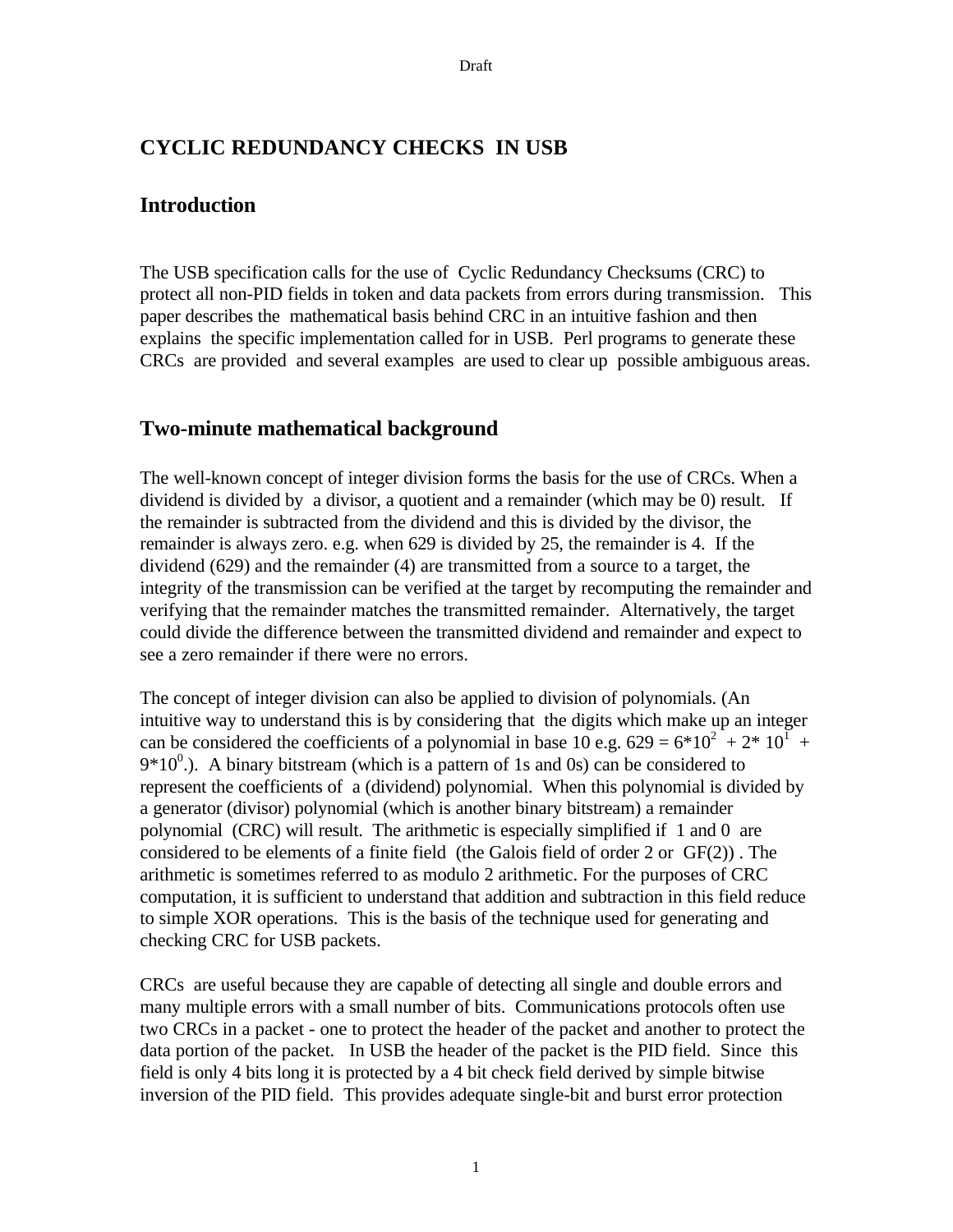# **CYCLIC REDUNDANCY CHECKS IN USB**

#### **Introduction**

The USB specification calls for the use of Cyclic Redundancy Checksums (CRC) to protect all non-PID fields in token and data packets from errors during transmission. This paper describes the mathematical basis behind CRC in an intuitive fashion and then explains the specific implementation called for in USB. Perl programs to generate these CRCs are provided and several examples are used to clear up possible ambiguous areas.

### **Two-minute mathematical background**

The well-known concept of integer division forms the basis for the use of CRCs. When a dividend is divided by a divisor, a quotient and a remainder (which may be 0) result. If the remainder is subtracted from the dividend and this is divided by the divisor, the remainder is always zero. e.g. when 629 is divided by 25, the remainder is 4. If the dividend (629) and the remainder (4) are transmitted from a source to a target, the integrity of the transmission can be verified at the target by recomputing the remainder and verifying that the remainder matches the transmitted remainder. Alternatively, the target could divide the difference between the transmitted dividend and remainder and expect to see a zero remainder if there were no errors.

The concept of integer division can also be applied to division of polynomials. (An intuitive way to understand this is by considering that the digits which make up an integer can be considered the coefficients of a polynomial in base 10 e.g.  $629 = 6*10^2 + 2*10^1 +$  $9*10^0$ .). A binary bitstream (which is a pattern of 1s and 0s) can be considered to represent the coefficients of a (dividend) polynomial. When this polynomial is divided by a generator (divisor) polynomial (which is another binary bitstream) a remainder polynomial (CRC) will result. The arithmetic is especially simplified if 1 and 0 are considered to be elements of a finite field (the Galois field of order 2 or GF(2)) . The arithmetic is sometimes referred to as modulo 2 arithmetic. For the purposes of CRC computation, it is sufficient to understand that addition and subtraction in this field reduce to simple XOR operations. This is the basis of the technique used for generating and checking CRC for USB packets.

CRCs are useful because they are capable of detecting all single and double errors and many multiple errors with a small number of bits. Communications protocols often use two CRCs in a packet - one to protect the header of the packet and another to protect the data portion of the packet. In USB the header of the packet is the PID field. Since this field is only 4 bits long it is protected by a 4 bit check field derived by simple bitwise inversion of the PID field. This provides adequate single-bit and burst error protection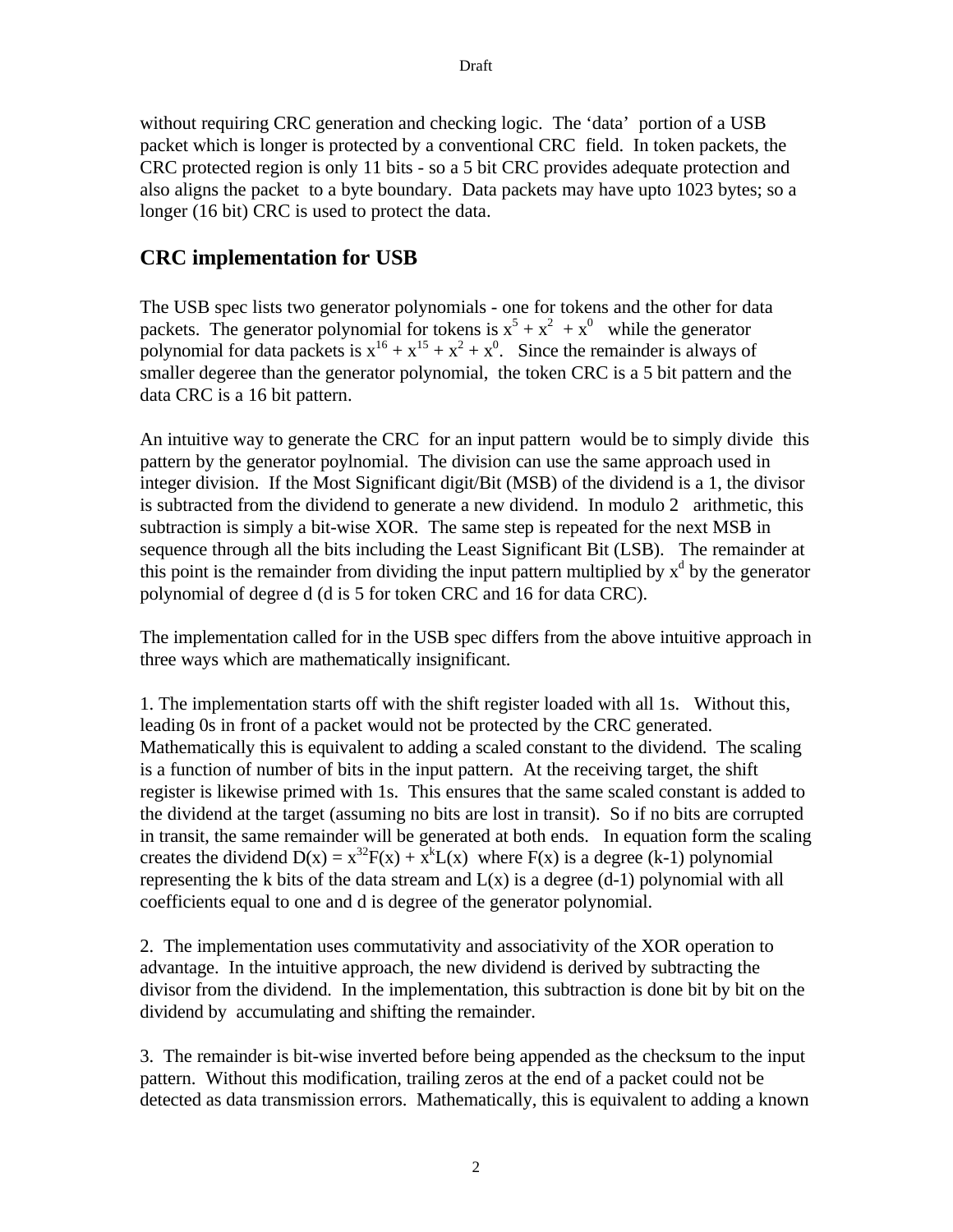without requiring CRC generation and checking logic. The 'data' portion of a USB packet which is longer is protected by a conventional CRC field. In token packets, the CRC protected region is only 11 bits - so a 5 bit CRC provides adequate protection and also aligns the packet to a byte boundary. Data packets may have upto 1023 bytes; so a longer (16 bit) CRC is used to protect the data.

# **CRC implementation for USB**

The USB spec lists two generator polynomials - one for tokens and the other for data packets. The generator polynomial for tokens is  $x^5 + x^2 + x^0$  while the generator polynomial for data packets is  $x^{16} + x^{15} + x^2 + x^0$ . Since the remainder is always of smaller degeree than the generator polynomial, the token CRC is a 5 bit pattern and the data CRC is a 16 bit pattern.

An intuitive way to generate the CRC for an input pattern would be to simply divide this pattern by the generator poylnomial. The division can use the same approach used in integer division. If the Most Significant digit/Bit (MSB) of the dividend is a 1, the divisor is subtracted from the dividend to generate a new dividend. In modulo 2 arithmetic, this subtraction is simply a bit-wise XOR. The same step is repeated for the next MSB in sequence through all the bits including the Least Significant Bit (LSB). The remainder at this point is the remainder from dividing the input pattern multiplied by  $x<sup>d</sup>$  by the generator polynomial of degree d (d is 5 for token CRC and 16 for data CRC).

The implementation called for in the USB spec differs from the above intuitive approach in three ways which are mathematically insignificant.

1. The implementation starts off with the shift register loaded with all 1s. Without this, leading 0s in front of a packet would not be protected by the CRC generated. Mathematically this is equivalent to adding a scaled constant to the dividend. The scaling is a function of number of bits in the input pattern. At the receiving target, the shift register is likewise primed with 1s. This ensures that the same scaled constant is added to the dividend at the target (assuming no bits are lost in transit). So if no bits are corrupted in transit, the same remainder will be generated at both ends. In equation form the scaling creates the dividend  $D(x) = x^{32}F(x) + x^{k}L(x)$  where  $F(x)$  is a degree (k-1) polynomial representing the k bits of the data stream and  $L(x)$  is a degree (d-1) polynomial with all coefficients equal to one and d is degree of the generator polynomial.

2. The implementation uses commutativity and associativity of the XOR operation to advantage. In the intuitive approach, the new dividend is derived by subtracting the divisor from the dividend. In the implementation, this subtraction is done bit by bit on the dividend by accumulating and shifting the remainder.

3. The remainder is bit-wise inverted before being appended as the checksum to the input pattern. Without this modification, trailing zeros at the end of a packet could not be detected as data transmission errors. Mathematically, this is equivalent to adding a known

2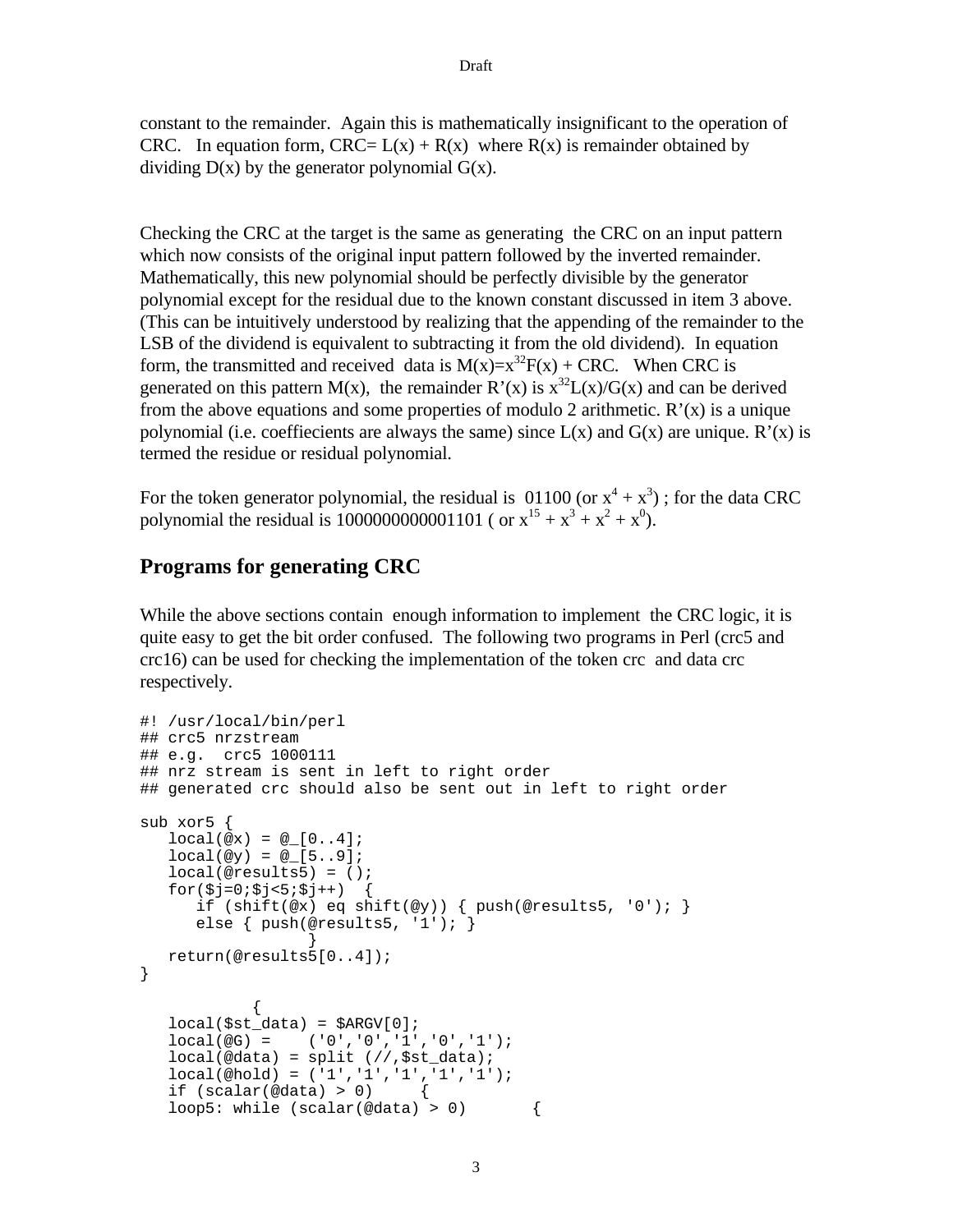constant to the remainder. Again this is mathematically insignificant to the operation of CRC. In equation form,  $CRC = L(x) + R(x)$  where  $R(x)$  is remainder obtained by dividing  $D(x)$  by the generator polynomial  $G(x)$ .

Checking the CRC at the target is the same as generating the CRC on an input pattern which now consists of the original input pattern followed by the inverted remainder. Mathematically, this new polynomial should be perfectly divisible by the generator polynomial except for the residual due to the known constant discussed in item 3 above. (This can be intuitively understood by realizing that the appending of the remainder to the LSB of the dividend is equivalent to subtracting it from the old dividend). In equation form, the transmitted and received data is  $M(x)=x^{32}F(x) + CRC$ . When CRC is generated on this pattern M(x), the remainder R'(x) is  $x^{32}L(x)/G(x)$  and can be derived from the above equations and some properties of modulo 2 arithmetic.  $R'(x)$  is a unique polynomial (i.e. coeffiecients are always the same) since  $L(x)$  and  $G(x)$  are unique.  $R'(x)$  is termed the residue or residual polynomial.

For the token generator polynomial, the residual is  $01100$  (or  $x^4 + x^3$ ); for the data CRC polynomial the residual is 1000000000001101 ( or  $x^{15} + x^3 + x^2 + x^0$ ).

# **Programs for generating CRC**

While the above sections contain enough information to implement the CRC logic, it is quite easy to get the bit order confused. The following two programs in Perl (crc5 and crc16) can be used for checking the implementation of the token crc and data crc respectively.

```
#! /usr/local/bin/perl
## crc5 nrzstream
## e.g. crc5 1000111
## nrz stream is sent in left to right order
## generated crc should also be sent out in left to right order
sub xor5 {
   local(@x) = @[0..4];local(@y) = @[5..9];local(@results5) = ();
   for(Sj=0:5j<5:5j++) if (shift(@x) eq shift(@y)) { push(@results5, '0'); }
      else { push(@results5, '1'); }
 }
   return(@results5[0..4]);
}
            {
   local(\text{fst\_data}) = \text{SARGV[0]};local(@G) = ('0','0','1','0','1');
   local(@data) = split // 0,$st_data);
    local(@hold) = ('1','1','1','1','1');
   if (scalar(\text{edata}) > 0)loop5: while (scalar(\text{@data}) > 0) {
```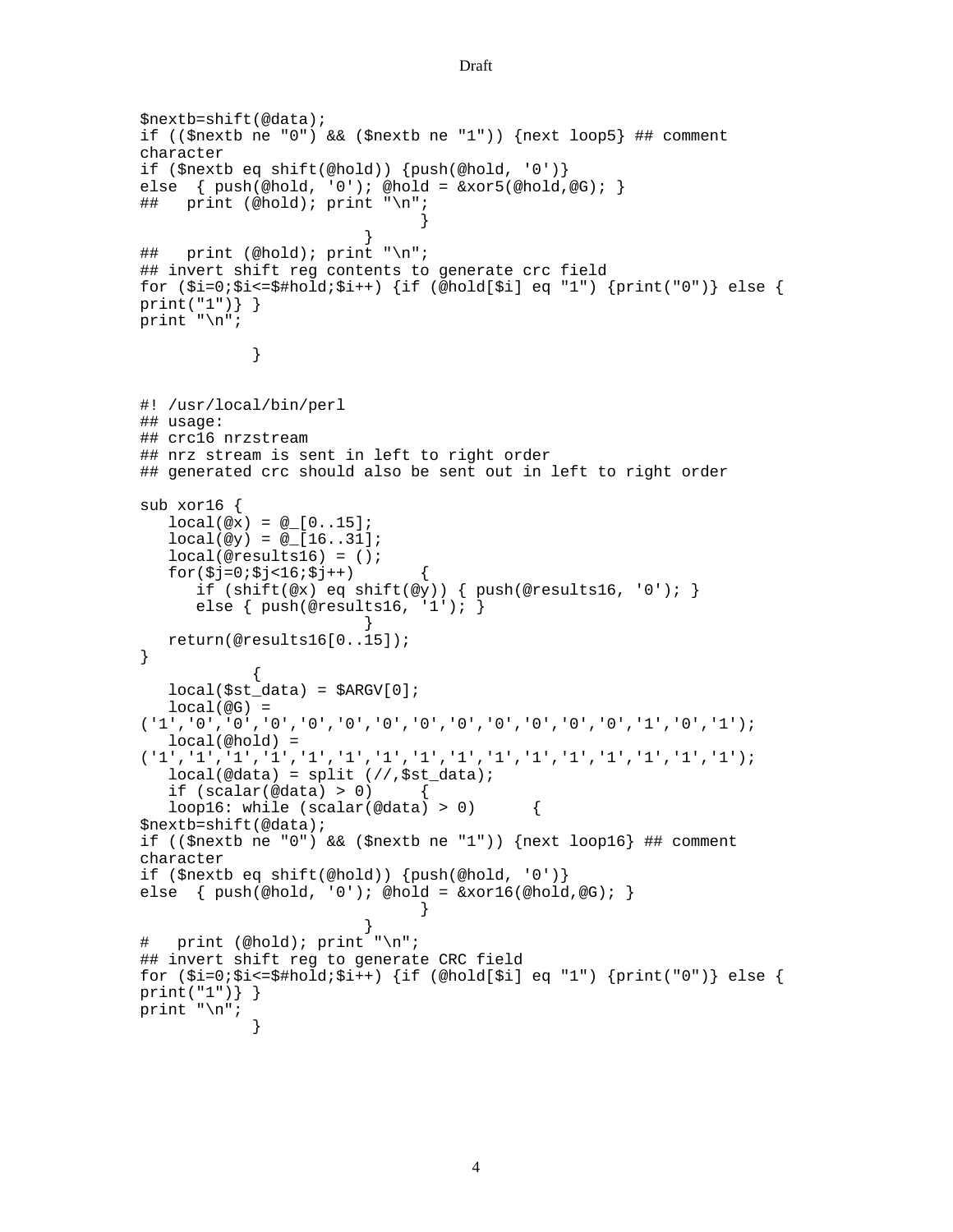```
$nextb=shift(@data);
if (($nextb ne "0") && ($nextb ne "1")) {next loop5} ## comment
character
if ($nextb eq shift(@hold)) {push(@hold, '0')}
else { push(\@hold, '0'); @hold = \& xor5(\@hold, @G);## print (@hold); print "\n";
                                }
                         }
## print (@hold); print "\n";
## invert shift reg contents to generate crc field
for (\xi_i=0;\xi_i<=\xi_i=0; \xi_i=+) {if (@hold[\xi_i] eq "1") {print("0")} else {
print("1")} }
print "\n";
             }
#! /usr/local/bin/perl
## usage:
## crc16 nrzstream
## nrz stream is sent in left to right order
## generated crc should also be sent out in left to right order
sub xor16 {
   local(@x) = @[0..15];local(@y) = @[16..31]; local(@results16) = ();
   for(§j=0;§j<16;§j++) {
       if (shift(@x) eq shift(@y)) { push(@results16, '0'); }
       else { push(@results16, '1'); }
 }
    return(@results16[0..15]);
}
             {
   local(\text{fst\_data}) = \text{SARGV[0]};local(@G) =('1','0','0','0','0','0','0','0','0','0','0','0','0','1','0','1');
    local(@hold) =
('1','1','1','1','1','1','1','1','1','1','1','1','1','1','1','1');
   local(@data) = split // 0,$st_data);
   if (scalar(\text{@data}) > 0)loop16: while (scalar(\text{@data}) > 0) {
$nextb=shift(@data);
if (($nextb ne "0") && ($nextb ne "1")) {next loop16} ## comment
character
if ($nextb eq shift(@hold)) {push(@hold, '0')}
else \{ push(\text{ehold}, '0'); \text{ehold} = \&xor16(\text{ehold}, \text{@G}); \}}
                         }
# print (@hold); print "\n";
## invert shift reg to generate CRC field
for (\xi_i=0;\xi_i<=\xi_i=0; \xi_i=+) {if (@hold[\xi_i] eq "1") {print("0")} else {
print("1")} }
print "\n";
             }
```

```
Draft
```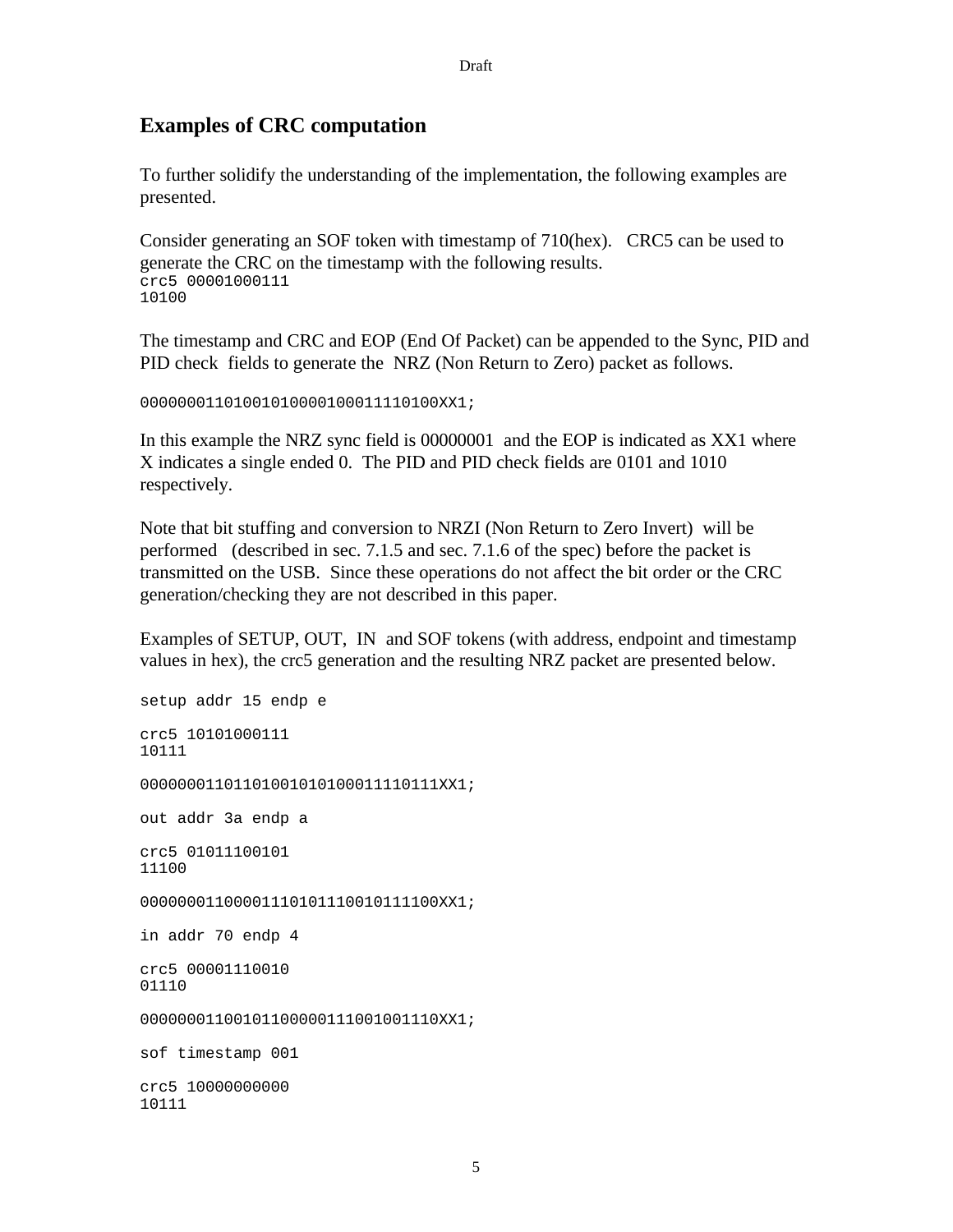#### Draft

#### **Examples of CRC computation**

To further solidify the understanding of the implementation, the following examples are presented.

Consider generating an SOF token with timestamp of 710(hex). CRC5 can be used to generate the CRC on the timestamp with the following results. crc5 00001000111 10100

The timestamp and CRC and EOP (End Of Packet) can be appended to the Sync, PID and PID check fields to generate the NRZ (Non Return to Zero) packet as follows.

00000001101001010000100011110100XX1;

In this example the NRZ sync field is 00000001 and the EOP is indicated as XX1 where X indicates a single ended 0. The PID and PID check fields are 0101 and 1010 respectively.

Note that bit stuffing and conversion to NRZI (Non Return to Zero Invert) will be performed (described in sec. 7.1.5 and sec. 7.1.6 of the spec) before the packet is transmitted on the USB. Since these operations do not affect the bit order or the CRC generation/checking they are not described in this paper.

Examples of SETUP, OUT, IN and SOF tokens (with address, endpoint and timestamp values in hex), the crc5 generation and the resulting NRZ packet are presented below.

```
setup addr 15 endp e
crc5 10101000111
10111
00000001101101000101000011110111XX1;
out addr 3a endp a
crc5 01011100101
11100
0000000110000111010111100101111100XX1;
in addr 70 endp 4
crc5 00001110010
01110
000000011001011000000111001001110XX1;
sof timestamp 001
crc5 10000000000
10111
```